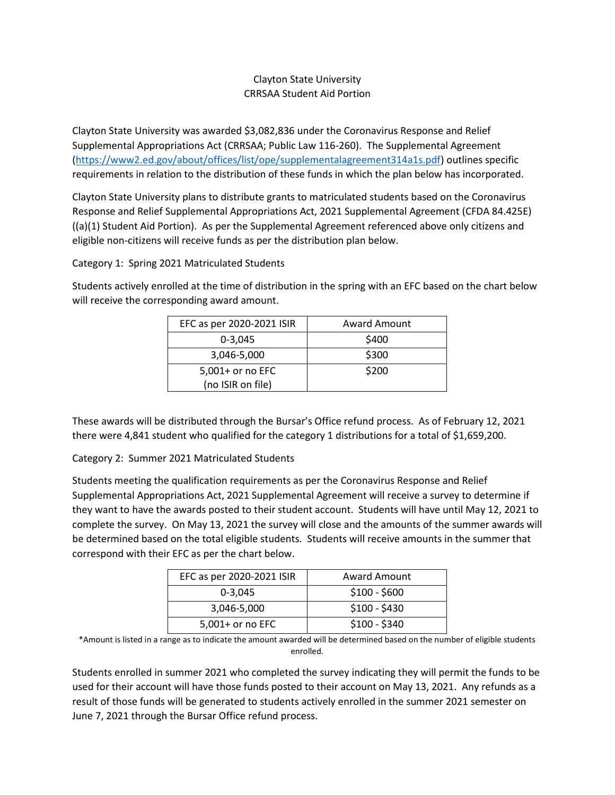## Clayton State University CRRSAA Student Aid Portion

Clayton State University was awarded \$3,082,836 under the Coronavirus Response and Relief Supplemental Appropriations Act (CRRSAA; Public Law 116-260). The Supplemental Agreement [\(https://www2.ed.gov/about/offices/list/ope/supplementalagreement314a1s.pdf\)](https://www2.ed.gov/about/offices/list/ope/supplementalagreement314a1s.pdf) outlines specific requirements in relation to the distribution of these funds in which the plan below has incorporated.

Clayton State University plans to distribute grants to matriculated students based on the Coronavirus Response and Relief Supplemental Appropriations Act, 2021 Supplemental Agreement (CFDA 84.425E) ((a)(1) Student Aid Portion). As per the Supplemental Agreement referenced above only citizens and eligible non-citizens will receive funds as per the distribution plan below.

Category 1: Spring 2021 Matriculated Students

Students actively enrolled at the time of distribution in the spring with an EFC based on the chart below will receive the corresponding award amount.

| EFC as per 2020-2021 ISIR | <b>Award Amount</b> |
|---------------------------|---------------------|
| $0 - 3.045$               | \$400               |
| 3,046-5,000               | \$300               |
| 5,001+ or no EFC          | \$200               |
| (no ISIR on file)         |                     |

These awards will be distributed through the Bursar's Office refund process. As of February 12, 2021 there were 4,841 student who qualified for the category 1 distributions for a total of \$1,659,200.

Category 2: Summer 2021 Matriculated Students

Students meeting the qualification requirements as per the Coronavirus Response and Relief Supplemental Appropriations Act, 2021 Supplemental Agreement will receive a survey to determine if they want to have the awards posted to their student account. Students will have until May 12, 2021 to complete the survey. On May 13, 2021 the survey will close and the amounts of the summer awards will be determined based on the total eligible students. Students will receive amounts in the summer that correspond with their EFC as per the chart below.

| EFC as per 2020-2021 ISIR | <b>Award Amount</b> |
|---------------------------|---------------------|
| $0 - 3.045$               | $$100 - $600$       |
| 3,046-5,000               | $$100 - $430$       |
| 5,001+ or no EFC          | $$100 - $340$       |

\*Amount is listed in a range as to indicate the amount awarded will be determined based on the number of eligible students enrolled.

Students enrolled in summer 2021 who completed the survey indicating they will permit the funds to be used for their account will have those funds posted to their account on May 13, 2021. Any refunds as a result of those funds will be generated to students actively enrolled in the summer 2021 semester on June 7, 2021 through the Bursar Office refund process.